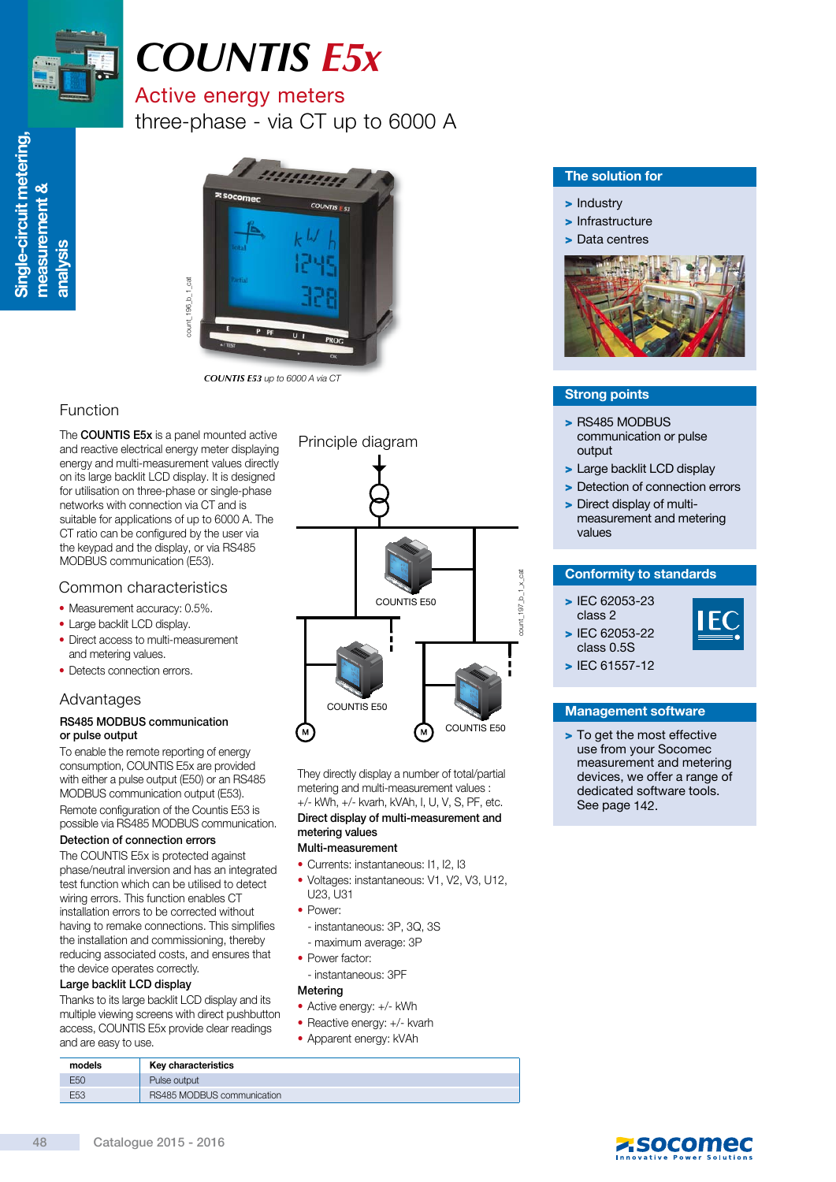

# *COUNTIS E5x*

# Active energy meters

three-phase - via CT up to 6000 A



*COUNTIS E53* up to 6000 A via CT

# Function

The **COUNTIS E5x** is a panel mounted active and reactive electrical energy meter displaying energy and multi-measurement values directly on its large backlit LCD display. It is designed for utilisation on three-phase or single-phase networks with connection via CT and is suitable for applications of up to 6000 A. The CT ratio can be configured by the user via the keypad and the display, or via RS485 MODBUS communication (E53).

# Common characteristics

- Measurement accuracy: 0.5%.
- Large backlit LCD display.
- Direct access to multi-measurement and metering values.
- Detects connection errors.

# Advantages

### RS485 MODBUS communication or pulse output

To enable the remote reporting of energy consumption, COUNTIS E5x are provided with either a pulse output (E50) or an RS485 MODBUS communication output (E53). Remote configuration of the Countis E53 is possible via RS485 MODBUS communication.

### Detection of connection errors

The COUNTIS E5x is protected against phase/neutral inversion and has an integrated test function which can be utilised to detect wiring errors. This function enables CT installation errors to be corrected without having to remake connections. This simplifies the installation and commissioning, thereby reducing associated costs, and ensures that the device operates correctly.

### Large backlit LCD display

Thanks to its large backlit LCD display and its multiple viewing screens with direct pushbutton access, COUNTIS E5x provide clear readings and are easy to use.



They directly display a number of total/partial metering and multi-measurement values : +/- kWh, +/- kvarh, kVAh, I, U, V, S, PF, etc. Direct display of multi-measurement and metering values

### Multi-measurement

- Currents: instantaneous: I1, I2, I3
- Voltages: instantaneous: V1, V2, V3, U12,
- U23, U31
- Power:
- instantaneous: 3P, 3Q, 3S
- maximum average: 3P
- Power factor:
- instantaneous: 3PF

### Metering

- Active energy: +/- kWh
- Reactive energy: +/- kvarh
- Apparent energy: kVAh

# The solution for

- > Industry
- > Infrastructure
- > Data centres



# Strong points

- > RS485 MODBUS communication or pulse output
- > Large backlit LCD display
- > Detection of connection errors
- > Direct display of multimeasurement and metering values

# Conformity to standards

> IEC 62053-23 class 2 > IEC 62053-22



class 0.5S > IEC 61557-12

### Management software

> To get the most effective use from your Socomec measurement and metering devices, we offer a range of dedicated software tools. See page 142.

| models          | Key characteristics        |
|-----------------|----------------------------|
| E <sub>50</sub> | Pulse output               |
| E53             | RS485 MODBUS communication |
|                 |                            |